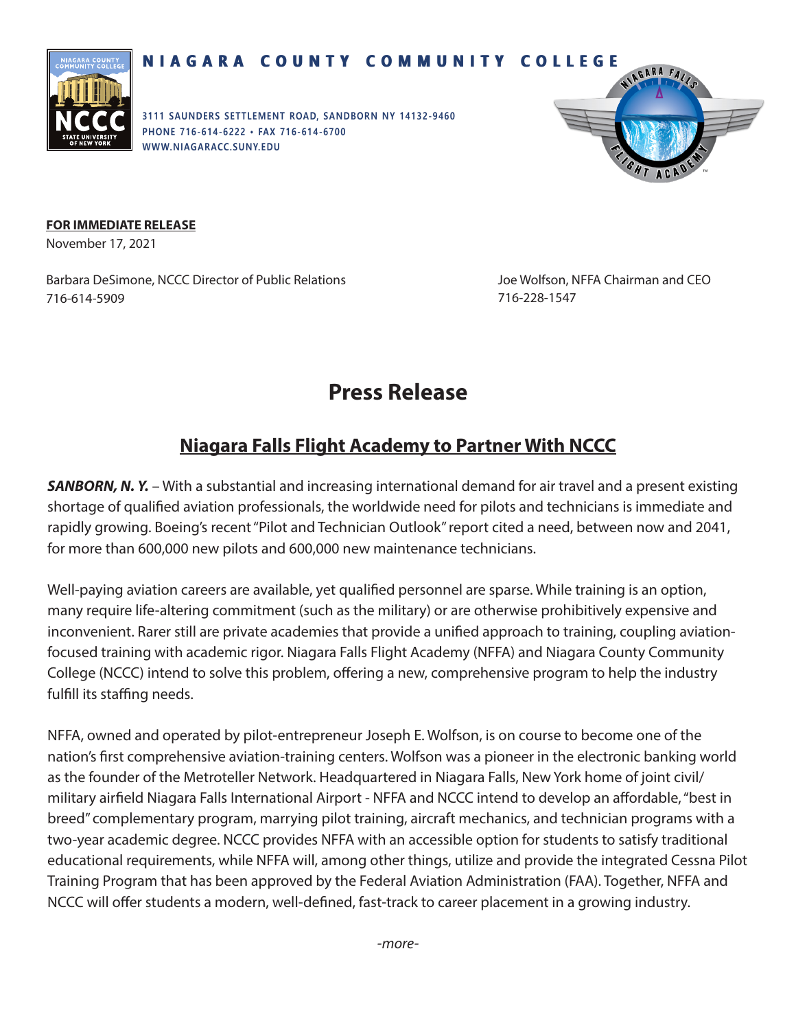

## **NIAGARA COUNTY COMMUNITY COLLEGE NIAGARA COUNTY COMMUNITY COLLEGE**

**3111 SAUNDERS SETTLEMENT ROAD, SANDBORN NY 14132-9460 PHONE 716-614-6222 • FAX 716-614-6700 WWW.N IAGARACC.SUNY. EDU**



## **FOR IMMEDIATE RELEASE**

November 17, 2021

Barbara DeSimone, NCCC Director of Public Relations 716-614-5909

Joe Wolfson, NFFA Chairman and CEO 716-228-1547

## **Press Release**

## **Niagara Falls Flight Academy to Partner With NCCC**

*SANBORN, N. Y.* – With a substantial and increasing international demand for air travel and a present existing shortage of qualified aviation professionals, the worldwide need for pilots and technicians is immediate and rapidly growing. Boeing's recent "Pilot and Technician Outlook" report cited a need, between now and 2041, for more than 600,000 new pilots and 600,000 new maintenance technicians.

Well-paying aviation careers are available, yet qualified personnel are sparse. While training is an option, many require life-altering commitment (such as the military) or are otherwise prohibitively expensive and inconvenient. Rarer still are private academies that provide a unified approach to training, coupling aviationfocused training with academic rigor. Niagara Falls Flight Academy (NFFA) and Niagara County Community College (NCCC) intend to solve this problem, offering a new, comprehensive program to help the industry fulfill its staffing needs.

NFFA, owned and operated by pilot-entrepreneur Joseph E. Wolfson, is on course to become one of the nation's first comprehensive aviation-training centers. Wolfson was a pioneer in the electronic banking world as the founder of the Metroteller Network. Headquartered in Niagara Falls, New York home of joint civil/ military airfield Niagara Falls International Airport - NFFA and NCCC intend to develop an affordable, "best in breed" complementary program, marrying pilot training, aircraft mechanics, and technician programs with a two-year academic degree. NCCC provides NFFA with an accessible option for students to satisfy traditional educational requirements, while NFFA will, among other things, utilize and provide the integrated Cessna Pilot Training Program that has been approved by the Federal Aviation Administration (FAA). Together, NFFA and NCCC will offer students a modern, well-defined, fast-track to career placement in a growing industry.